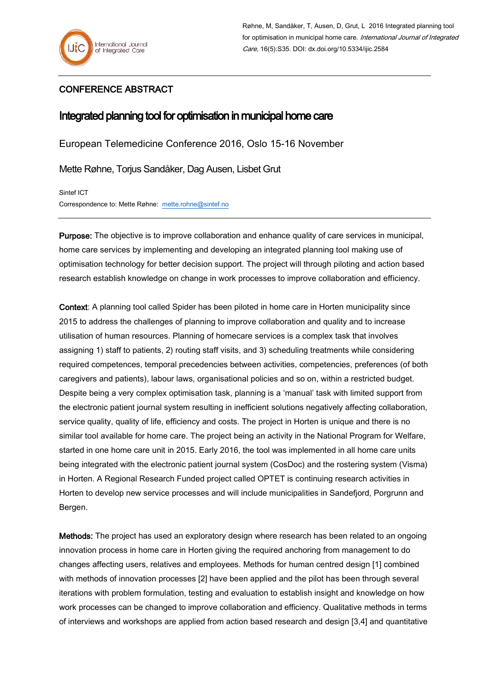## CONFERENCE ABSTRACT

## Integrated planning tool for optimisation in municipal home care

European Telemedicine Conference 2016, Oslo 15-16 November

Mette Røhne, Torjus Sandåker, Dag Ausen, Lisbet Grut

Sintef ICT Correspondence to: Mette Røhne: [mette.rohne@sintef.no](mailto:mette.rohne@sintef.no) 

Purpose: The objective is to improve collaboration and enhance quality of care services in municipal, home care services by implementing and developing an integrated planning tool making use of optimisation technology for better decision support. The project will through piloting and action based research establish knowledge on change in work processes to improve collaboration and efficiency.

Context: A planning tool called Spider has been piloted in home care in Horten municipality since 2015 to address the challenges of planning to improve collaboration and quality and to increase utilisation of human resources. Planning of homecare services is a complex task that involves assigning 1) staff to patients, 2) routing staff visits, and 3) scheduling treatments while considering required competences, temporal precedencies between activities, competencies, preferences (of both caregivers and patients), labour laws, organisational policies and so on, within a restricted budget. Despite being a very complex optimisation task, planning is a 'manual' task with limited support from the electronic patient journal system resulting in inefficient solutions negatively affecting collaboration, service quality, quality of life, efficiency and costs. The project in Horten is unique and there is no similar tool available for home care. The project being an activity in the National Program for Welfare, started in one home care unit in 2015. Early 2016, the tool was implemented in all home care units being integrated with the electronic patient journal system (CosDoc) and the rostering system (Visma) in Horten. A Regional Research Funded project called OPTET is continuing research activities in Horten to develop new service processes and will include municipalities in Sandefjord, Porgrunn and Bergen.

Methods: The project has used an exploratory design where research has been related to an ongoing innovation process in home care in Horten giving the required anchoring from management to do changes affecting users, relatives and employees. Methods for human centred design [1] combined with methods of innovation processes [2] have been applied and the pilot has been through several iterations with problem formulation, testing and evaluation to establish insight and knowledge on how work processes can be changed to improve collaboration and efficiency. Qualitative methods in terms of interviews and workshops are applied from action based research and design [3,4] and quantitative